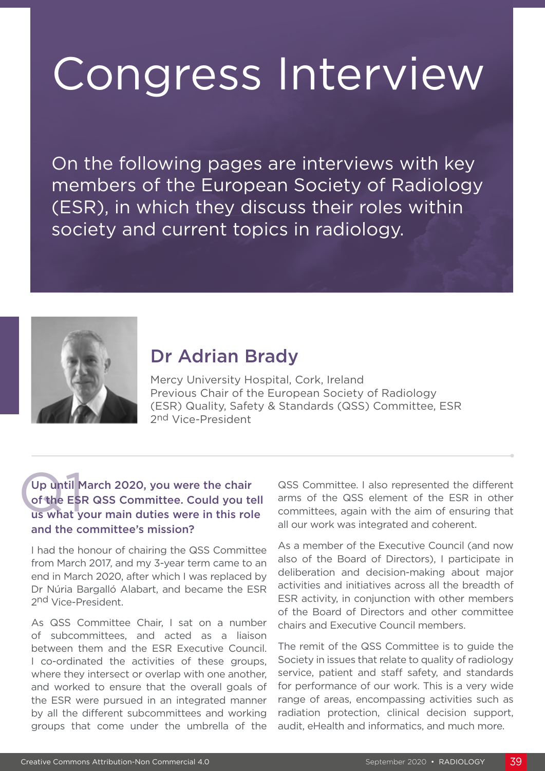# Congress Interview

On the following pages are interviews with key members of the European Society of Radiology (ESR), in which they discuss their roles within society and current topics in radiology.



## Dr Adrian Brady

Mercy University Hospital, Cork, Ireland Previous Chair of the European Society of Radiology (ESR) Quality, Safety & Standards (QSS) Committee, ESR 2nd Vice-President

## Up until M<br>of the ESI<br>us what y Up until March 2020, you were the chair of the ESR QSS Committee. Could you tell us what your main duties were in this role and the committee's mission?

I had the honour of chairing the QSS Committee from March 2017, and my 3-year term came to an end in March 2020, after which I was replaced by Dr Núria Bargalló Alabart, and became the ESR 2nd Vice-President.

As QSS Committee Chair, I sat on a number of subcommittees, and acted as a liaison between them and the ESR Executive Council. I co-ordinated the activities of these groups, where they intersect or overlap with one another, and worked to ensure that the overall goals of the ESR were pursued in an integrated manner by all the different subcommittees and working groups that come under the umbrella of the

QSS Committee. I also represented the different arms of the QSS element of the ESR in other committees, again with the aim of ensuring that all our work was integrated and coherent.

As a member of the Executive Council (and now also of the Board of Directors), I participate in deliberation and decision-making about major activities and initiatives across all the breadth of ESR activity, in conjunction with other members of the Board of Directors and other committee chairs and Executive Council members.

The remit of the QSS Committee is to guide the Society in issues that relate to quality of radiology service, patient and staff safety, and standards for performance of our work. This is a very wide range of areas, encompassing activities such as radiation protection, clinical decision support, audit, eHealth and informatics, and much more.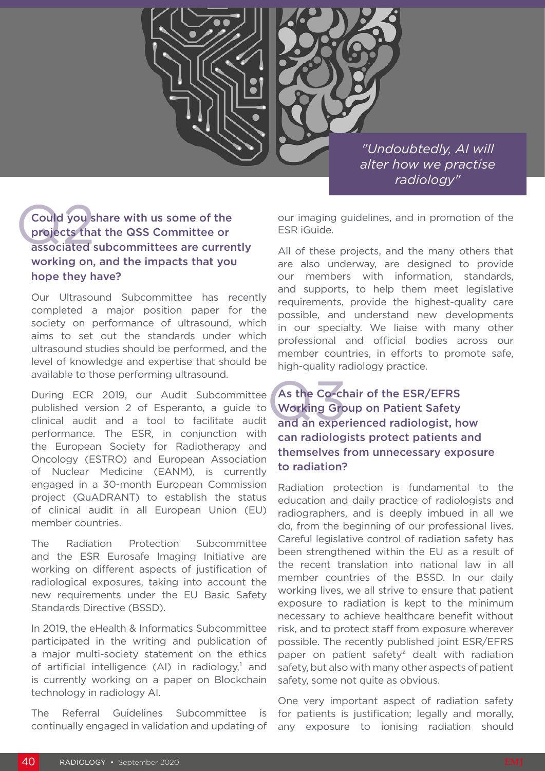

*"Undoubtedly, AI will alter how we practise radiology"*

## Could you share with us some of the projects that the QSS Committee or associated subcommittees are currently working on, and the impacts that you hope they have?

Our Ultrasound Subcommittee has recently completed a major position paper for the society on performance of ultrasound, which aims to set out the standards under which ultrasound studies should be performed, and the level of knowledge and expertise that should be available to those performing ultrasound.

During ECR 2019, our Audit Subcommittee published version 2 of Esperanto, a guide to clinical audit and a tool to facilitate audit performance. The ESR, in conjunction with the European Society for Radiotherapy and Oncology (ESTRO) and European Association of Nuclear Medicine (EANM), is currently engaged in a 30-month European Commission project (QuADRANT) to establish the status of clinical audit in all European Union (EU) member countries.

The Radiation Protection Subcommittee and the ESR Eurosafe Imaging Initiative are working on different aspects of justification of radiological exposures, taking into account the new requirements under the EU Basic Safety Standards Directive (BSSD).

In 2019, the eHealth & Informatics Subcommittee participated in the writing and publication of a major multi-society statement on the ethics of artificial intelligence  $(Al)$  in radiology,<sup>1</sup> and is currently working on a paper on Blockchain technology in radiology AI.

The Referral Guidelines Subcommittee is continually engaged in validation and updating of our imaging guidelines, and in promotion of the ESR iGuide.

All of these projects, and the many others that are also underway, are designed to provide our members with information, standards, and supports, to help them meet legislative requirements, provide the highest-quality care possible, and understand new developments in our specialty. We liaise with many other professional and official bodies across our member countries, in efforts to promote safe, high-quality radiology practice.

## As the Co-ch<br>Working Gro<br>and an exper As the Co-chair of the ESR/EFRS Working Group on Patient Safety and an experienced radiologist, how can radiologists protect patients and themselves from unnecessary exposure to radiation?

Radiation protection is fundamental to the education and daily practice of radiologists and radiographers, and is deeply imbued in all we do, from the beginning of our professional lives. Careful legislative control of radiation safety has been strengthened within the EU as a result of the recent translation into national law in all member countries of the BSSD. In our daily working lives, we all strive to ensure that patient exposure to radiation is kept to the minimum necessary to achieve healthcare benefit without risk, and to protect staff from exposure wherever possible. The recently published joint ESR/EFRS paper on patient safety<sup>2</sup> dealt with radiation safety, but also with many other aspects of patient safety, some not quite as obvious.

One very important aspect of radiation safety for patients is justification; legally and morally, any exposure to ionising radiation should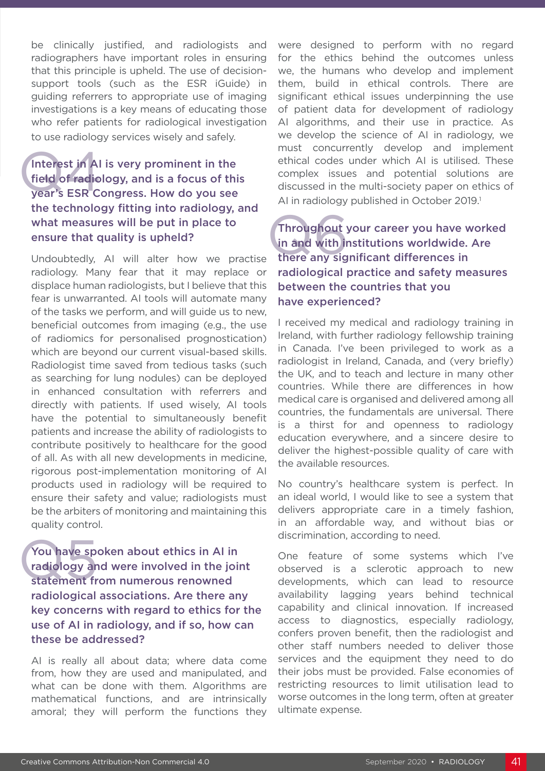be clinically justified, and radiologists and radiographers have important roles in ensuring that this principle is upheld. The use of decisionsupport tools (such as the ESR iGuide) in guiding referrers to appropriate use of imaging investigations is a key means of educating those who refer patients for radiological investigation to use radiology services wisely and safely.

## Interest in Al<br>field of radio<br>year's ESR C Interest in AI is very prominent in the field of radiology, and is a focus of this year's ESR Congress. How do you see the technology fitting into radiology, and what measures will be put in place to ensure that quality is upheld?

Undoubtedly, AI will alter how we practise radiology. Many fear that it may replace or displace human radiologists, but I believe that this fear is unwarranted. AI tools will automate many of the tasks we perform, and will guide us to new, beneficial outcomes from imaging (e.g., the use of radiomics for personalised prognostication) which are beyond our current visual-based skills. Radiologist time saved from tedious tasks (such as searching for lung nodules) can be deployed in enhanced consultation with referrers and directly with patients. If used wisely, AI tools have the potential to simultaneously benefit patients and increase the ability of radiologists to contribute positively to healthcare for the good of all. As with all new developments in medicine, rigorous post-implementation monitoring of AI products used in radiology will be required to ensure their safety and value; radiologists must be the arbiters of monitoring and maintaining this quality control.

You have speradiology and<br>statement fr You have spoken about ethics in AI in radiology and were involved in the joint statement from numerous renowned radiological associations. Are there any key concerns with regard to ethics for the use of AI in radiology, and if so, how can these be addressed?

AI is really all about data; where data come from, how they are used and manipulated, and what can be done with them. Algorithms are mathematical functions, and are intrinsically amoral; they will perform the functions they

were designed to perform with no regard for the ethics behind the outcomes unless we, the humans who develop and implement them, build in ethical controls. There are significant ethical issues underpinning the use of patient data for development of radiology AI algorithms, and their use in practice. As we develop the science of AI in radiology, we must concurrently develop and implement ethical codes under which AI is utilised. These complex issues and potential solutions are discussed in the multi-society paper on ethics of AI in radiology published in October 2019.<sup>1</sup>

## Throughout your career you have w<br>in and with institutions worldwide.<br>there any significant differences in Throughout your career you have worked in and with institutions worldwide. Are radiological practice and safety measures between the countries that you have experienced?

I received my medical and radiology training in Ireland, with further radiology fellowship training in Canada. I've been privileged to work as a radiologist in Ireland, Canada, and (very briefly) the UK, and to teach and lecture in many other countries. While there are differences in how medical care is organised and delivered among all countries, the fundamentals are universal. There is a thirst for and openness to radiology education everywhere, and a sincere desire to deliver the highest-possible quality of care with the available resources.

No country's healthcare system is perfect. In an ideal world, I would like to see a system that delivers appropriate care in a timely fashion, in an affordable way, and without bias or discrimination, according to need.

One feature of some systems which I've observed is a sclerotic approach to new developments, which can lead to resource availability lagging years behind technical capability and clinical innovation. If increased access to diagnostics, especially radiology, confers proven benefit, then the radiologist and other staff numbers needed to deliver those services and the equipment they need to do their jobs must be provided. False economies of restricting resources to limit utilisation lead to worse outcomes in the long term, often at greater ultimate expense.